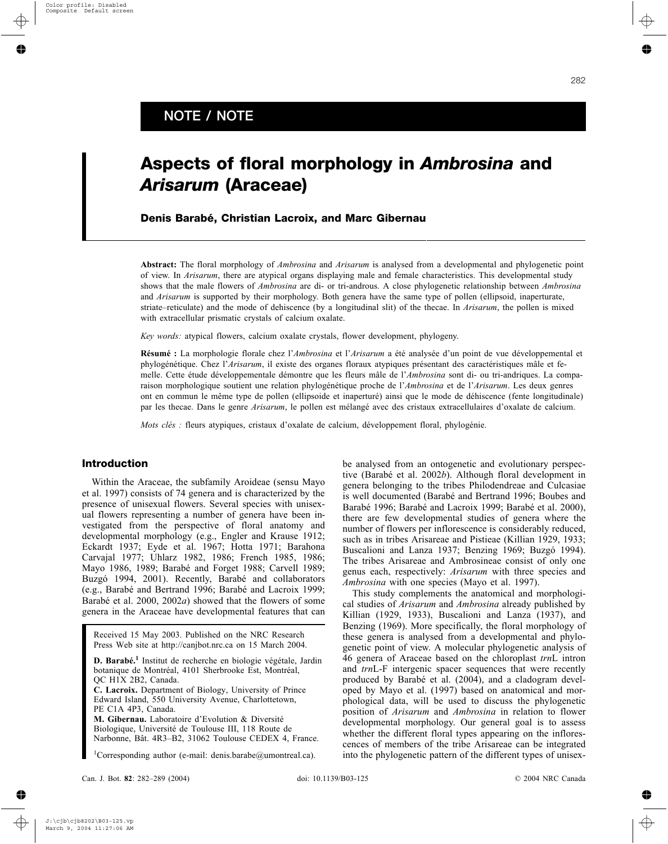# **Aspects of floral morphology in** *Ambrosina* **and** *Arisarum* **(Araceae)**

**Denis Barabé, Christian Lacroix, and Marc Gibernau**

**Abstract:** The floral morphology of *Ambrosina* and *Arisarum* is analysed from a developmental and phylogenetic point of view. In *Arisarum*, there are atypical organs displaying male and female characteristics. This developmental study shows that the male flowers of *Ambrosina* are di- or tri-androus. A close phylogenetic relationship between *Ambrosina* and *Arisarum* is supported by their morphology. Both genera have the same type of pollen (ellipsoid, inaperturate, striate–reticulate) and the mode of dehiscence (by a longitudinal slit) of the thecae. In *Arisarum*, the pollen is mixed with extracellular prismatic crystals of calcium oxalate.

*Key words:* atypical flowers, calcium oxalate crystals, flower development, phylogeny.

**Résumé :** La morphologie florale chez l'*Ambrosina* et l'*Arisarum* a été analysée d'un point de vue développemental et phylogénétique. Chez l'*Arisarum*, il existe des organes floraux atypiques présentant des caractéristiques mâle et femelle. Cette étude développementale démontre que les fleurs mâle de l'*Ambrosina* sont di- ou tri-andriques. La comparaison morphologique soutient une relation phylogénétique proche de l'Ambrosina et de l'Arisarum. Les deux genres ont en commun le même type de pollen (ellipsoide et inaperturé) ainsi que le mode de déhiscence (fente longitudinale) par les thecae. Dans le genre *Arisarum*, le pollen est mélangé avec des cristaux extracellulaires d'oxalate de calcium.

*Mots clés :* fleurs atypiques, cristaux d'oxalate de calcium, développement floral, phylogénie.

Within the Araceae, the subfamily Aroideae (sensu Mayo et al. 1997) consists of 74 genera and is characterized by the presence of unisexual flowers. Several species with unisexual flowers representing a number of genera have been investigated from the perspective of floral anatomy and developmental morphology (e.g., Engler and Krause 1912; Eckardt 1937; Eyde et al. 1967; Hotta 1971; Barahona Carvajal 1977; Uhlarz 1982, 1986; French 1985, 1986; Mayo 1986, 1989; Barabé and Forget 1988; Carvell 1989; Buzgó 1994, 2001). Recently, Barabé and collaborators (e.g., BarabÈ and Bertrand 1996; BarabÈ and Lacroix 1999; Barabé et al. 2000, 2002*a*) showed that the flowers of some genera in the Araceae have developmental features that can

Received 15 May 2003. Published on the NRC Research Press Web site at http://canjbot.nrc.ca on 15 March 2004.

**D. Barabé.<sup>1</sup>** Institut de recherche en biologie végétale, Jardin botanique de Montréal, 4101 Sherbrooke Est, Montréal, QC H1X 2B2, Canada.

**C. Lacroix.** Department of Biology, University of Prince Edward Island, 550 University Avenue, Charlottetown, PE C1A 4P3, Canada.

**M. Gibernau.** Laboratoire d'Evolution & Diversité Biologique, Université de Toulouse III, 118 Route de Narbonne, Bât. 4R3-B2, 31062 Toulouse CEDEX 4, France.

<sup>1</sup>Corresponding author (e-mail: denis.barabe@umontreal.ca).

**Introduction** be analysed from an ontogenetic and evolutionary perspective (BarabÈ et al. 2002*b*). Although floral development in genera belonging to the tribes Philodendreae and Culcasiae is well documented (BarabÈ and Bertrand 1996; Boubes and Barabé 1996; Barabé and Lacroix 1999; Barabé et al. 2000), there are few developmental studies of genera where the number of flowers per inflorescence is considerably reduced, such as in tribes Arisareae and Pistieae (Killian 1929, 1933; Buscalioni and Lanza 1937; Benzing 1969; Buzgó 1994). The tribes Arisareae and Ambrosineae consist of only one genus each, respectively: *Arisarum* with three species and *Ambrosina* with one species (Mayo et al. 1997).

> This study complements the anatomical and morphological studies of *Arisarum* and *Ambrosina* already published by Killian (1929, 1933), Buscalioni and Lanza (1937), and Benzing (1969). More specifically, the floral morphology of these genera is analysed from a developmental and phylogenetic point of view. A molecular phylogenetic analysis of 46 genera of Araceae based on the chloroplast *trn*L intron and *trn*L-F intergenic spacer sequences that were recently produced by Barabé et al. (2004), and a cladogram developed by Mayo et al. (1997) based on anatomical and morphological data, will be used to discuss the phylogenetic position of *Arisarum* and *Ambrosina* in relation to flower developmental morphology. Our general goal is to assess whether the different floral types appearing on the inflorescences of members of the tribe Arisareae can be integrated into the phylogenetic pattern of the different types of unisex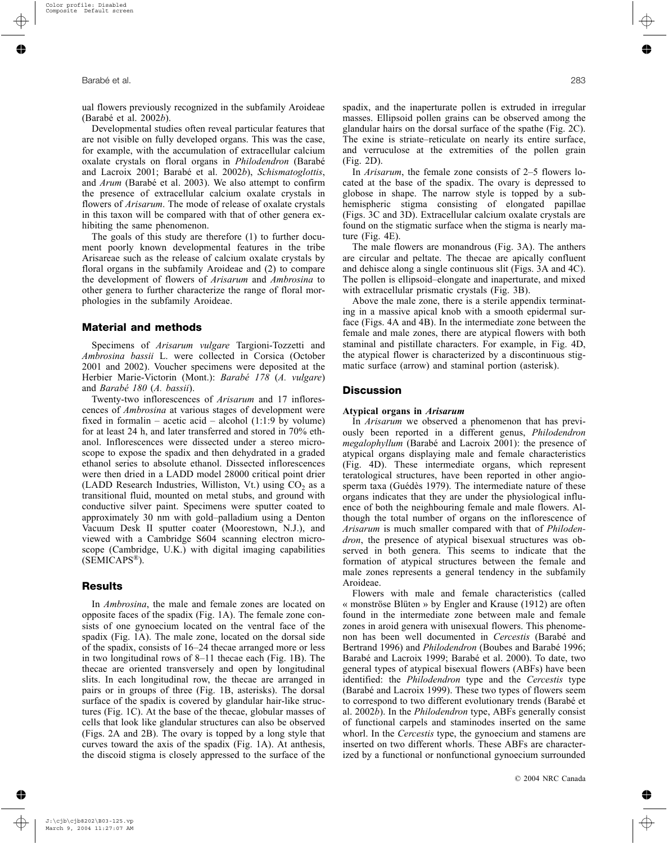ual flowers previously recognized in the subfamily Aroideae (BarabÈ et al. 2002*b*).

Developmental studies often reveal particular features that are not visible on fully developed organs. This was the case, for example, with the accumulation of extracellular calcium oxalate crystals on floral organs in *Philodendron* (BarabÈ and Lacroix 2001; BarabÈ et al. 2002*b*), *Schismatoglottis*, and *Arum* (Barabé et al. 2003). We also attempt to confirm the presence of extracellular calcium oxalate crystals in flowers of *Arisarum*. The mode of release of oxalate crystals in this taxon will be compared with that of other genera exhibiting the same phenomenon.

The goals of this study are therefore (1) to further document poorly known developmental features in the tribe Arisareae such as the release of calcium oxalate crystals by floral organs in the subfamily Aroideae and (2) to compare the development of flowers of *Arisarum* and *Ambrosina* to other genera to further characterize the range of floral morphologies in the subfamily Aroideae.

# **Material and methods**

Specimens of *Arisarum vulgare* Targioni-Tozzetti and *Ambrosina bassii* L. were collected in Corsica (October 2001 and 2002). Voucher specimens were deposited at the Herbier Marie-Victorin (Mont.): *BarabÈ 178* (*A. vulgare*) and *BarabÈ 180* (*A. bassii*).

Twenty-two inflorescences of *Arisarum* and 17 inflorescences of *Ambrosina* at various stages of development were fixed in formalin – acetic acid – alcohol (1:1:9 by volume) for at least 24 h, and later transferred and stored in 70% ethanol. Inflorescences were dissected under a stereo microscope to expose the spadix and then dehydrated in a graded ethanol series to absolute ethanol. Dissected inflorescences were then dried in a LADD model 28000 critical point drier (LADD Research Industries, Williston, Vt.) using  $CO<sub>2</sub>$  as a transitional fluid, mounted on metal stubs, and ground with conductive silver paint. Specimens were sputter coated to approximately 30 nm with gold-palladium using a Denton Vacuum Desk II sputter coater (Moorestown, N.J.), and viewed with a Cambridge S604 scanning electron microscope (Cambridge, U.K.) with digital imaging capabilities  $(SEMICAPS<sup>®</sup>)$ .

## **Results**

In *Ambrosina*, the male and female zones are located on opposite faces of the spadix (Fig. 1A). The female zone consists of one gynoecium located on the ventral face of the spadix (Fig. 1A). The male zone, located on the dorsal side of the spadix, consists of  $16-24$  thecae arranged more or less in two longitudinal rows of  $8-11$  thecae each (Fig. 1B). The thecae are oriented transversely and open by longitudinal slits. In each longitudinal row, the thecae are arranged in pairs or in groups of three (Fig. 1B, asterisks). The dorsal surface of the spadix is covered by glandular hair-like structures (Fig. 1C). At the base of the thecae, globular masses of cells that look like glandular structures can also be observed (Figs. 2A and 2B). The ovary is topped by a long style that curves toward the axis of the spadix (Fig. 1A). At anthesis, the discoid stigma is closely appressed to the surface of the spadix, and the inaperturate pollen is extruded in irregular masses. Ellipsoid pollen grains can be observed among the glandular hairs on the dorsal surface of the spathe (Fig. 2C). The exine is striate–reticulate on nearly its entire surface, and verruculose at the extremities of the pollen grain (Fig. 2D).

In *Arisarum*, the female zone consists of 2–5 flowers located at the base of the spadix. The ovary is depressed to globose in shape. The narrow style is topped by a subhemispheric stigma consisting of elongated papillae (Figs. 3C and 3D). Extracellular calcium oxalate crystals are found on the stigmatic surface when the stigma is nearly mature (Fig. 4E).

The male flowers are monandrous (Fig. 3A). The anthers are circular and peltate. The thecae are apically confluent and dehisce along a single continuous slit (Figs. 3A and 4C). The pollen is ellipsoid-elongate and inaperturate, and mixed with extracellular prismatic crystals (Fig. 3B).

Above the male zone, there is a sterile appendix terminating in a massive apical knob with a smooth epidermal surface (Figs. 4A and 4B). In the intermediate zone between the female and male zones, there are atypical flowers with both staminal and pistillate characters. For example, in Fig. 4D, the atypical flower is characterized by a discontinuous stigmatic surface (arrow) and staminal portion (asterisk).

## **Discussion**

#### **Atypical organs in** *Arisarum*

In *Arisarum* we observed a phenomenon that has previously been reported in a different genus, *Philodendron megalophyllum* (Barabé and Lacroix 2001): the presence of atypical organs displaying male and female characteristics (Fig. 4D). These intermediate organs, which represent teratological structures, have been reported in other angiosperm taxa (Guédès 1979). The intermediate nature of these organs indicates that they are under the physiological influence of both the neighbouring female and male flowers. Although the total number of organs on the inflorescence of *Arisarum* is much smaller compared with that of *Philodendron*, the presence of atypical bisexual structures was observed in both genera. This seems to indicate that the formation of atypical structures between the female and male zones represents a general tendency in the subfamily Aroideae.

Flowers with male and female characteristics (called « monströse Blüten » by Engler and Krause (1912) are often found in the intermediate zone between male and female zones in aroid genera with unisexual flowers. This phenomenon has been well documented in *Cercestis* (BarabÈ and Bertrand 1996) and *Philodendron* (Boubes and Barabé 1996; Barabé and Lacroix 1999; Barabé et al. 2000). To date, two general types of atypical bisexual flowers (ABFs) have been identified: the *Philodendron* type and the *Cercestis* type (BarabÈ and Lacroix 1999). These two types of flowers seem to correspond to two different evolutionary trends (Barabé et al. 2002*b*). In the *Philodendron* type, ABFs generally consist of functional carpels and staminodes inserted on the same whorl. In the *Cercestis* type, the gynoecium and stamens are inserted on two different whorls. These ABFs are characterized by a functional or nonfunctional gynoecium surrounded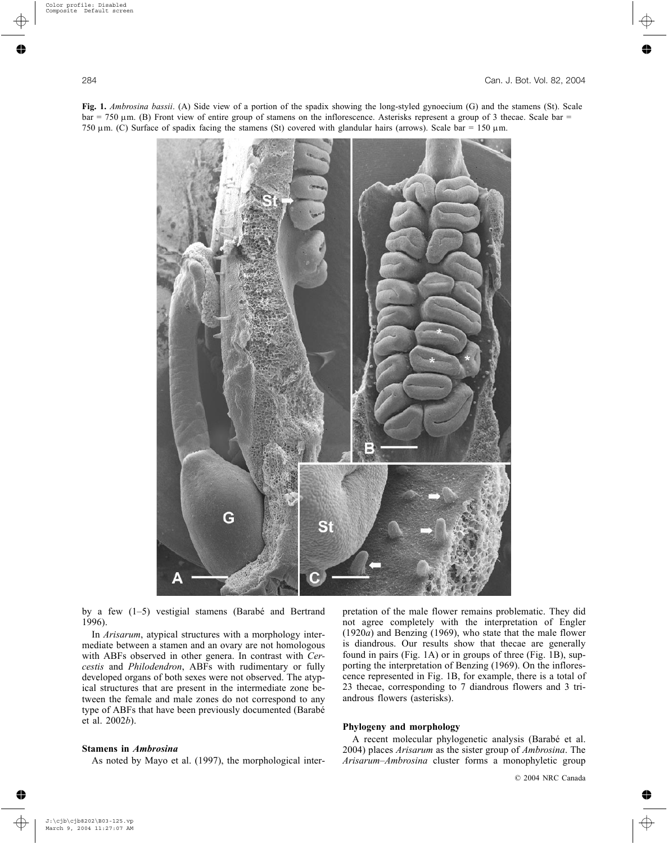**Fig. 1.** *Ambrosina bassii*. (A) Side view of a portion of the spadix showing the long-styled gynoecium (G) and the stamens (St). Scale  $bar = 750 \mu m$ . (B) Front view of entire group of stamens on the inflorescence. Asterisks represent a group of 3 thecae. Scale bar  $=$ 750  $\mu$ m. (C) Surface of spadix facing the stamens (St) covered with glandular hairs (arrows). Scale bar = 150  $\mu$ m.



by a few  $(1-5)$  vestigial stamens (Barabé and Bertrand 1996).

In *Arisarum*, atypical structures with a morphology intermediate between a stamen and an ovary are not homologous with ABFs observed in other genera. In contrast with *Cercestis* and *Philodendron*, ABFs with rudimentary or fully developed organs of both sexes were not observed. The atypical structures that are present in the intermediate zone between the female and male zones do not correspond to any type of ABFs that have been previously documented (BarabÈ et al. 2002*b*).

# **Stamens in** *Ambrosina*

As noted by Mayo et al. (1997), the morphological inter-

pretation of the male flower remains problematic. They did not agree completely with the interpretation of Engler (1920*a*) and Benzing (1969), who state that the male flower is diandrous. Our results show that thecae are generally found in pairs (Fig. 1A) or in groups of three (Fig. 1B), supporting the interpretation of Benzing (1969). On the inflorescence represented in Fig. 1B, for example, there is a total of 23 thecae, corresponding to 7 diandrous flowers and 3 triandrous flowers (asterisks).

# **Phylogeny and morphology**

A recent molecular phylogenetic analysis (Barabé et al. 2004) places *Arisarum* as the sister group of *Ambrosina*. The Arisarum-Ambrosina cluster forms a monophyletic group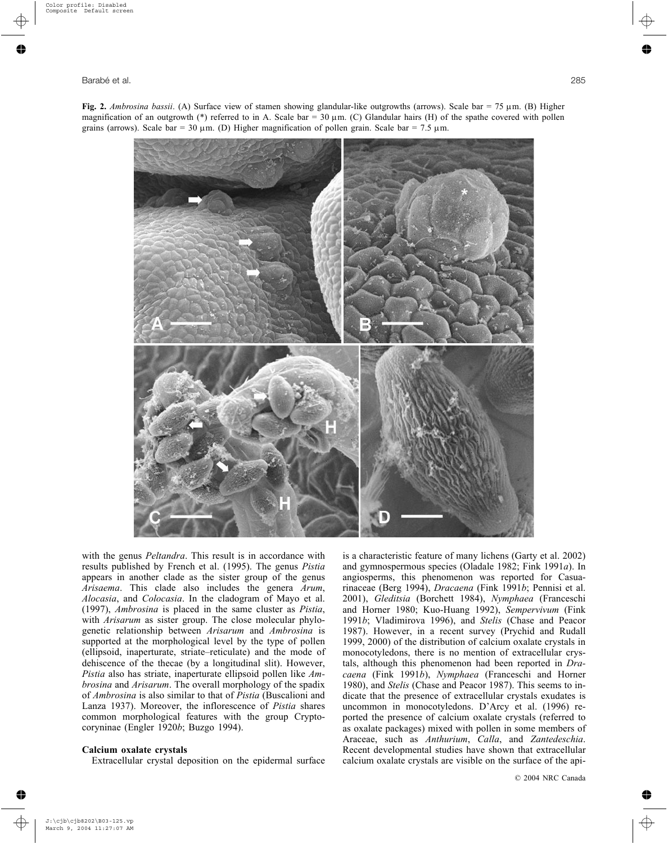

with the genus *Peltandra*. This result is in accordance with results published by French et al. (1995). The genus *Pistia* appears in another clade as the sister group of the genus *Arisaema*. This clade also includes the genera *Arum*, *Alocasia*, and *Colocasia*. In the cladogram of Mayo et al. (1997), *Ambrosina* is placed in the same cluster as *Pistia*, with *Arisarum* as sister group. The close molecular phylogenetic relationship between *Arisarum* and *Ambrosina* is supported at the morphological level by the type of pollen (ellipsoid, inaperturate, striate-reticulate) and the mode of dehiscence of the thecae (by a longitudinal slit). However, *Pistia* also has striate, inaperturate ellipsoid pollen like *Ambrosina* and *Arisarum*. The overall morphology of the spadix of *Ambrosina* is also similar to that of *Pistia* (Buscalioni and Lanza 1937). Moreover, the inflorescence of *Pistia* shares common morphological features with the group Cryptocoryninae (Engler 1920*b*; Buzgo 1994).

# **Calcium oxalate crystals**

Extracellular crystal deposition on the epidermal surface

is a characteristic feature of many lichens (Garty et al. 2002) and gymnospermous species (Oladale 1982; Fink 1991*a*). In angiosperms, this phenomenon was reported for Casuarinaceae (Berg 1994), *Dracaena* (Fink 1991*b*; Pennisi et al. 2001), *Gleditsia* (Borchett 1984), *Nymphaea* (Franceschi and Horner 1980; Kuo-Huang 1992), *Sempervivum* (Fink 1991*b*; Vladimirova 1996), and *Stelis* (Chase and Peacor 1987). However, in a recent survey (Prychid and Rudall 1999, 2000) of the distribution of calcium oxalate crystals in monocotyledons, there is no mention of extracellular crystals, although this phenomenon had been reported in *Dracaena* (Fink 1991*b*), *Nymphaea* (Franceschi and Horner 1980), and *Stelis* (Chase and Peacor 1987). This seems to indicate that the presence of extracellular crystals exudates is uncommon in monocotyledons. D'Arcy et al. (1996) reported the presence of calcium oxalate crystals (referred to as oxalate packages) mixed with pollen in some members of Araceae, such as *Anthurium*, *Calla*, and *Zantedeschia*. Recent developmental studies have shown that extracellular calcium oxalate crystals are visible on the surface of the api-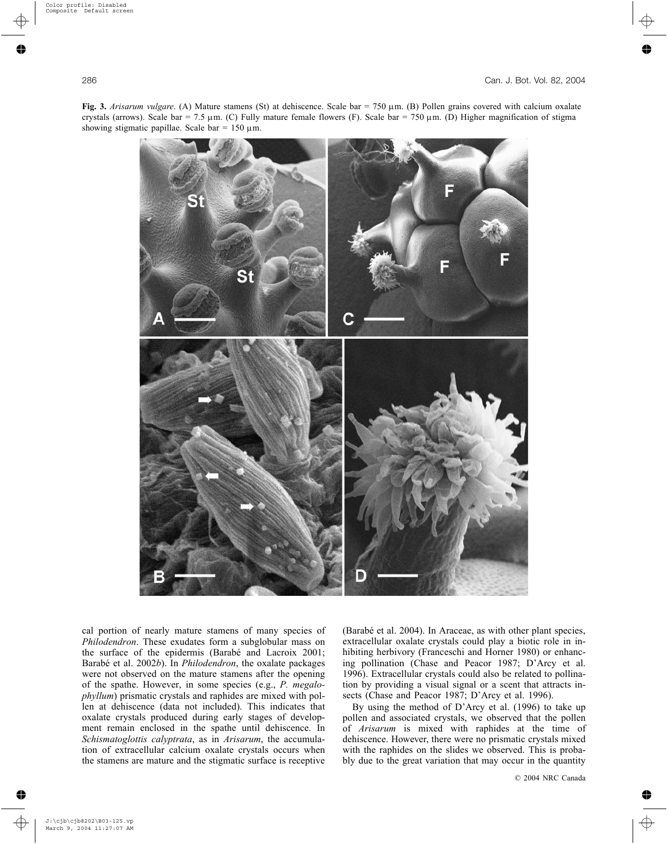



cal portion of nearly mature stamens of many species of *Philodendron*. These exudates form a subglobular mass on the surface of the epidermis (Barabé and Lacroix 2001; BarabÈ et al. 2002*b*). In *Philodendron*, the oxalate packages were not observed on the mature stamens after the opening of the spathe. However, in some species (e.g., *P. megalophyllum*) prismatic crystals and raphides are mixed with pollen at dehiscence (data not included). This indicates that oxalate crystals produced during early stages of development remain enclosed in the spathe until dehiscence. In *Schismatoglottis calyptrata*, as in *Arisarum*, the accumulation of extracellular calcium oxalate crystals occurs when the stamens are mature and the stigmatic surface is receptive

(Barabé et al. 2004). In Araceae, as with other plant species, extracellular oxalate crystals could play a biotic role in inhibiting herbivory (Franceschi and Horner 1980) or enhancing pollination (Chase and Peacor 1987; D'Arcy et al. 1996). Extracellular crystals could also be related to pollination by providing a visual signal or a scent that attracts insects (Chase and Peacor 1987; D'Arcy et al. 1996).

By using the method of  $D'$ Arcy et al. (1996) to take up pollen and associated crystals, we observed that the pollen of *Arisarum* is mixed with raphides at the time of dehiscence. However, there were no prismatic crystals mixed with the raphides on the slides we observed. This is probably due to the great variation that may occur in the quantity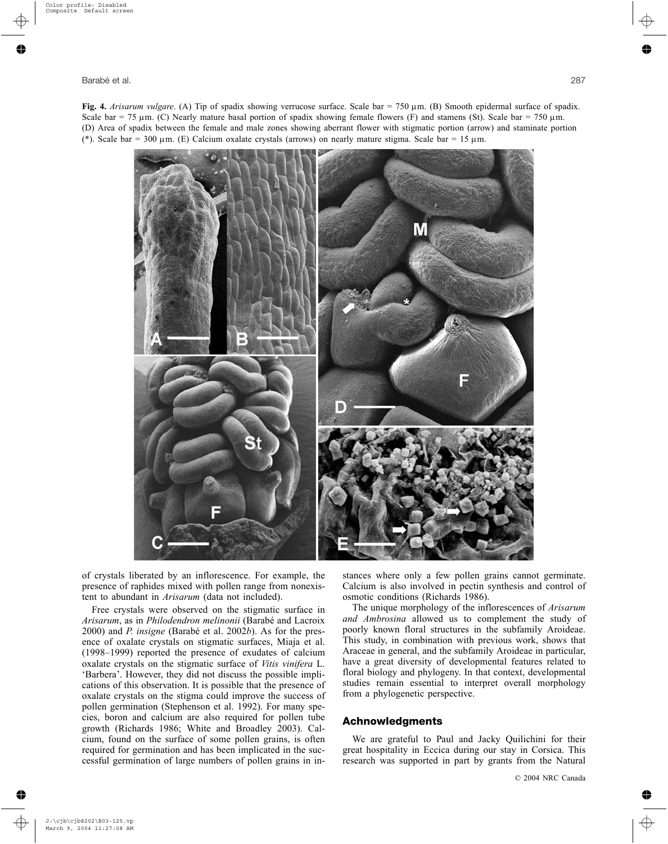**Fig. 4.** *Arisarum vulgare*. (A) Tip of spadix showing verrucose surface. Scale bar = 750 µm. (B) Smooth epidermal surface of spadix. Scale bar = 75  $\mu$ m. (C) Nearly mature basal portion of spadix showing female flowers (F) and stamens (St). Scale bar = 750  $\mu$ m. (D) Area of spadix between the female and male zones showing aberrant flower with stigmatic portion (arrow) and staminate portion (\*). Scale bar = 300  $\mu$ m. (E) Calcium oxalate crystals (arrows) on nearly mature stigma. Scale bar = 15  $\mu$ m.



of crystals liberated by an inflorescence. For example, the presence of raphides mixed with pollen range from nonexistent to abundant in *Arisarum* (data not included).

Free crystals were observed on the stigmatic surface in *Arisarum*, as in *Philodendron melinonii* (BarabÈ and Lacroix 2000) and *P. insigne* (BarabÈ et al. 2002*b*). As for the presence of oxalate crystals on stigmatic surfaces, Miaja et al.  $(1998-1999)$  reported the presence of exudates of calcium oxalate crystals on the stigmatic surface of *Vitis vinifera* L. 'Barbera'. However, they did not discuss the possible implications of this observation. It is possible that the presence of oxalate crystals on the stigma could improve the success of pollen germination (Stephenson et al. 1992). For many species, boron and calcium are also required for pollen tube growth (Richards 1986; White and Broadley 2003). Calcium, found on the surface of some pollen grains, is often required for germination and has been implicated in the successful germination of large numbers of pollen grains in instances where only a few pollen grains cannot germinate. Calcium is also involved in pectin synthesis and control of osmotic conditions (Richards 1986).

The unique morphology of the inflorescences of *Arisarum and Ambrosina* allowed us to complement the study of poorly known floral structures in the subfamily Aroideae. This study, in combination with previous work, shows that Araceae in general, and the subfamily Aroideae in particular, have a great diversity of developmental features related to floral biology and phylogeny. In that context, developmental studies remain essential to interpret overall morphology from a phylogenetic perspective.

## **Achnowledgments**

We are grateful to Paul and Jacky Quilichini for their great hospitality in Eccica during our stay in Corsica. This research was supported in part by grants from the Natural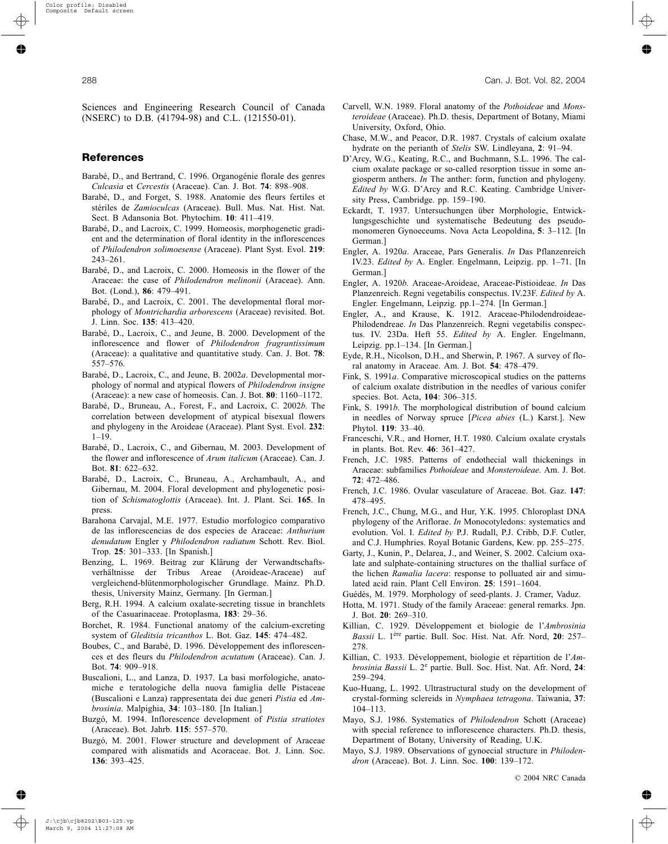Sciences and Engineering Research Council of Canada (NSERC) to D.B. (41794-98) and C.L. (121550-01).

# **References**

- Barabé, D., and Bertrand, C. 1996. Organogénie florale des genres *Culcasia* et *Cercestis* (Araceae). Can. J. Bot. 74: 898-908.
- BarabÈ, D., and Forget, S. 1988. Anatomie des fleurs fertiles et stériles de *Zamioculcas* (Araceae). Bull. Mus. Nat. Hist. Nat. Sect. B Adansonia Bot. Phytochim. **10**: 411-419.
- Barabé, D., and Lacroix, C. 1999. Homeosis, morphogenetic gradient and the determination of floral identity in the inflorescences of *Philodendron solimoesense* (Araceae). Plant Syst. Evol. **219**:  $243 - 261$
- BarabÈ, D., and Lacroix, C. 2000. Homeosis in the flower of the Araceae: the case of *Philodendron melinonii* (Araceae). Ann. Bot. (Lond.), **86**: 479-491.
- Barabé, D., and Lacroix, C. 2001. The developmental floral morphology of *Montrichardia arborescens* (Araceae) revisited. Bot. J. Linn. Soc. **135**: 413–420.
- BarabÈ, D., Lacroix, C., and Jeune, B. 2000. Development of the inflorescence and flower of *Philodendron fragrantissimum* (Araceae): a qualitative and quantitative study. Can. J. Bot. **78**: 557–576.
- Barabé, D., Lacroix, C., and Jeune, B. 2002a. Developmental morphology of normal and atypical flowers of *Philodendron insigne*  $(Araceae)$ : a new case of homeosis. Can. J. Bot.  $80$ :  $1160-1172$ .
- BarabÈ, D., Bruneau, A., Forest, F., and Lacroix, C. 2002*b*. The correlation between development of atypical bisexual flowers and phylogeny in the Aroideae (Araceae). Plant Syst. Evol. **232**:  $1 - 19$ .
- Barabé, D., Lacroix, C., and Gibernau, M. 2003. Development of the flower and inflorescence of *Arum italicum* (Araceae). Can. J. Bot. 81: 622-632.
- BarabÈ, D., Lacroix, C., Bruneau, A., Archambault, A., and Gibernau, M. 2004. Floral development and phylogenetic position of *Schismatoglottis* (Araceae). Int. J. Plant. Sci. **165**. In press.
- Barahona Carvajal, M.E. 1977. Estudio morfologico comparativo de las inflorescencias de dos especies de Araceae: *Anthurium denudatum* Engler y *Philodendron radiatum* Schott. Rev. Biol. Trop. 25: 301-333. [In Spanish.]
- Benzing, L. 1969. Beitrag zur Klärung der Verwandtschaftsverhältnisse der Tribus Areae (Aroideae-Araceae) auf vergleichend-blütenmorphologischer Grundlage. Mainz. Ph.D. thesis, University Mainz, Germany. [In German.]
- Berg, R.H. 1994. A calcium oxalate-secreting tissue in branchlets of the Casuarinaceae. Protoplasma, 183: 29-36.
- Borchet, R. 1984. Functional anatomy of the calcium-excreting system of *Gleditsia tricanthos* L. Bot. Gaz. 145: 474-482.
- Boubes, C., and Barabé, D. 1996. Développement des inflorescences et des fleurs du *Philodendron acutatum* (Araceae). Can. J. Bot. 74: 909-918.
- Buscalioni, L., and Lanza, D. 1937. La basi morfologiche, anatomiche e teratologiche della nuova famiglia delle Pistaceae (Buscalioni e Lanza) rappresentata dei due generi *Pistia* ed *Ambrosinia*. Malpighia, 34: 103-180. [In Italian.]
- Buzgó, M. 1994. Inflorescence development of *Pistia stratiotes* (Araceae). Bot. Jahrb. **115**: 557–570.
- Buzgó, M. 2001. Flower structure and development of Araceae compared with alismatids and Acoraceae. Bot. J. Linn. Soc. **136**: 393-425.
- Carvell, W.N. 1989. Floral anatomy of the *Pothoideae* and *Monsteroideae* (Araceae). Ph.D. thesis, Department of Botany, Miami University, Oxford, Ohio.
- Chase, M.W., and Peacor, D.R. 1987. Crystals of calcium oxalate hydrate on the perianth of *Stelis* SW. Lindleyana, 2: 91-94.
- D'Arcy, W.G., Keating, R.C., and Buchmann, S.L. 1996. The calcium oxalate package or so-called resorption tissue in some angiosperm anthers. *In* The anther: form, function and phylogeny. *Edited by* W.G. D'Arcy and R.C. Keating. Cambridge University Press, Cambridge. pp. 159–190.
- Eckardt, T. 1937. Untersuchungen über Morphologie, Entwicklungsgeschichte und systematische Bedeutung des pseudomonomeren Gynoeceums. Nova Acta Leopoldina, 5: 3–112. [In German.]
- Engler, A. 1920*a*. Araceae, Pars Generalis. *In* Das Pflanzenreich IV.23. *Edited by* A. Engler. Engelmann, Leipzig. pp. 1–71. [In German.]
- Engler, A. 1920*b*. Araceae-Aroideae, Araceae-Pistioideae. *In* Das Planzenreich. Regni vegetabilis conspectus. IV.23F. *Edited by* A. Engler. Engelmann, Leipzig. pp.1-274. [In German.]
- Engler, A., and Krause, K. 1912. Araceae-Philodendroideae-Philodendreae. *In* Das Planzenreich. Regni vegetabilis conspectus. IV. 23Da. Heft 55. *Edited by* A. Engler. Engelmann, Leipzig. pp.1-134. [In German.]
- Eyde, R.H., Nicolson, D.H., and Sherwin, P. 1967. A survey of floral anatomy in Araceae. Am. J. Bot. 54: 478–479.
- Fink, S. 1991*a*. Comparative microscopical studies on the patterns of calcium oxalate distribution in the needles of various conifer species. Bot. Acta, 104: 306-315.
- Fink, S. 1991*b*. The morphological distribution of bound calcium in needles of Norway spruce [*Picea abies* (L.) Karst.]. New Phytol. **119**: 33-40.
- Franceschi, V.R., and Horner, H.T. 1980. Calcium oxalate crystals in plants. Bot. Rev. 46: 361-427.
- French, J.C. 1985. Patterns of endothecial wall thickenings in Araceae: subfamilies *Pothoideae* and *Monsteroideae*. Am. J. Bot. **72**: 472-486.
- French, J.C. 1986. Ovular vasculature of Araceae. Bot. Gaz. **147**: 478-495.
- French, J.C., Chung, M.G., and Hur, Y.K. 1995. Chloroplast DNA phylogeny of the Ariflorae. *In* Monocotyledons: systematics and evolution. Vol. I. *Edited by* P.J. Rudall, P.J. Cribb, D.F. Cutler, and C.J. Humphries. Royal Botanic Gardens, Kew. pp. 255–275.
- Garty, J., Kunin, P., Delarea, J., and Weiner, S. 2002. Calcium oxalate and sulphate-containing structures on the thallial surface of the lichen *Ramalia lacera*: response to polluated air and simulated acid rain. Plant Cell Environ. 25: 1591-1604.
- Guédès, M. 1979. Morphology of seed-plants. J. Cramer, Vaduz.
- Hotta, M. 1971. Study of the family Araceae: general remarks. Jpn. J. Bot. 20: 269-310.
- Killian, C. 1929. Développement et biologie de l'Ambrosinia *Bassii* L. 1ère partie. Bull. Soc. Hist. Nat. Afr. Nord, 20: 257-278.
- Killian, C. 1933. Développement, biologie et répartition de l'Am*brosinia Bassii* L. 2<sup>e</sup> partie. Bull. Soc. Hist. Nat. Afr. Nord, **24**: 259-294.
- Kuo-Huang, L. 1992. Ultrastructural study on the development of crystal-forming sclereids in *Nymphaea tetragona*. Taiwania, **37**: 104–113.
- Mayo, S.J. 1986. Systematics of *Philodendron* Schott (Araceae) with special reference to inflorescence characters. Ph.D. thesis, Department of Botany, University of Reading, U.K.
- Mayo, S.J. 1989. Observations of gynoecial structure in *Philoden*dron (Araceae). Bot. J. Linn. Soc. 100: 139-172.